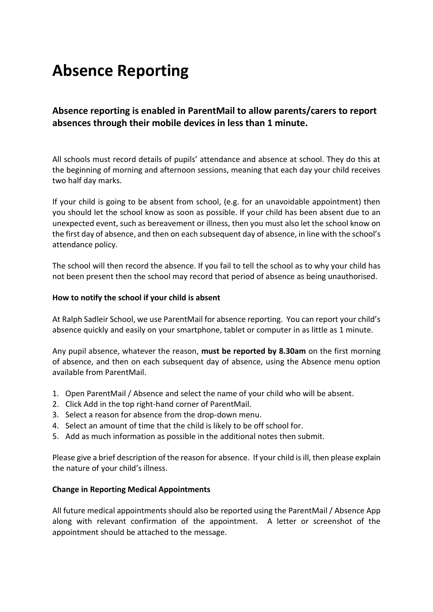# **Absence Reporting**

**Absence reporting is enabled in ParentMail to allow parents/carers to report absences through their mobile devices in less than 1 minute.**

All schools must record details of pupils' attendance and absence at school. They do this at the beginning of morning and afternoon sessions, meaning that each day your child receives two half day marks.

If your child is going to be absent from school, (e.g. for an unavoidable appointment) then you should let the school know as soon as possible. If your child has been absent due to an unexpected event, such as bereavement or illness, then you must also let the school know on the first day of absence, and then on each subsequent day of absence, in line with the school's attendance policy.

The school will then record the absence. If you fail to tell the school as to why your child has not been present then the school may record that period of absence as being unauthorised.

#### **How to notify the school if your child is absent**

At Ralph Sadleir School, we use ParentMail for absence reporting. You can report your child's absence quickly and easily on your smartphone, tablet or computer in as little as 1 minute.

Any pupil absence, whatever the reason, **must be reported by 8.30am** on the first morning of absence, and then on each subsequent day of absence, using the Absence menu option available from ParentMail.

- 1. Open ParentMail / Absence and select the name of your child who will be absent.
- 2. Click Add in the top right-hand corner of ParentMail.
- 3. Select a reason for absence from the drop-down menu.
- 4. Select an amount of time that the child is likely to be off school for.
- 5. Add as much information as possible in the additional notes then submit.

Please give a brief description of the reason for absence. If your child is ill, then please explain the nature of your child's illness.

#### **Change in Reporting Medical Appointments**

All future medical appointments should also be reported using the ParentMail / Absence App along with relevant confirmation of the appointment. A letter or screenshot of the appointment should be attached to the message.